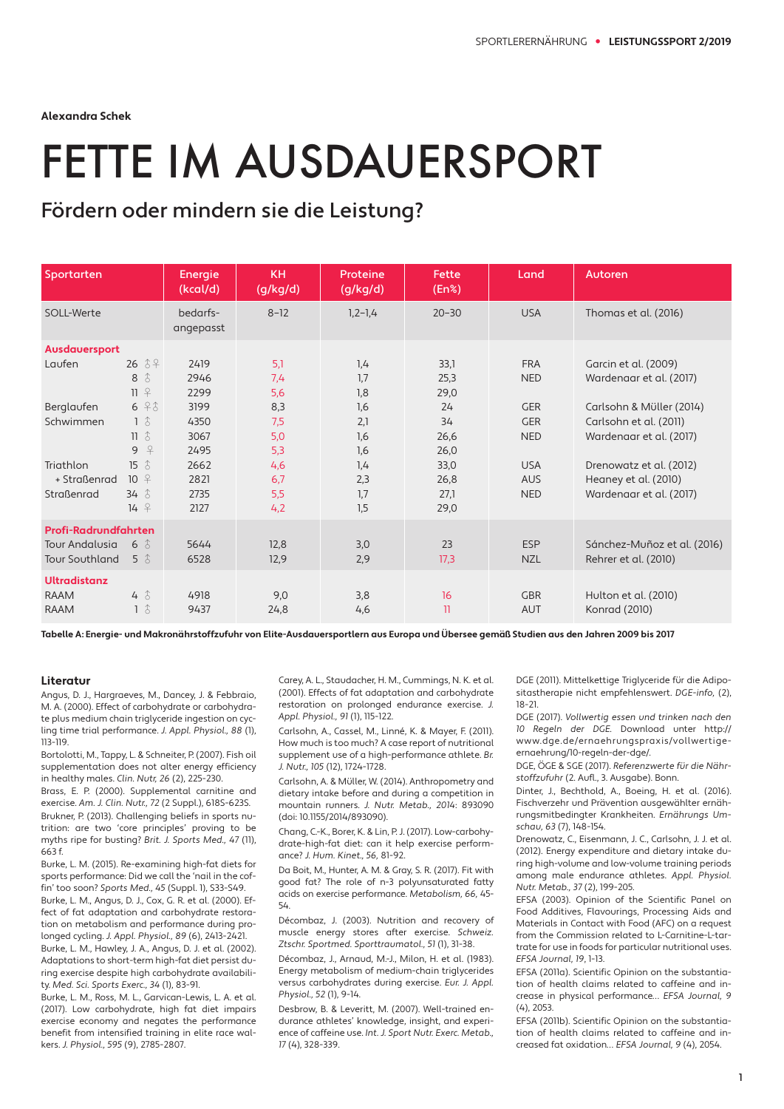**Alexandra Schek**

## FETTE IM AUSDAUERSPORT

## Fördern oder mindern sie die Leistung?

| Sportarten                                                             |                                                                             | Energie<br>(kcal/d)          | <b>KH</b><br>(g/kg/d)    | Proteine<br>(g/kg/d)     | Fette<br>(En% )              | Land                                   | Autoren                                                                       |
|------------------------------------------------------------------------|-----------------------------------------------------------------------------|------------------------------|--------------------------|--------------------------|------------------------------|----------------------------------------|-------------------------------------------------------------------------------|
| SOLL-Werte                                                             |                                                                             | bedarfs-<br>angepasst        | $8 - 12$                 | $1, 2 - 1, 4$            | $20 - 30$                    | <b>USA</b>                             | Thomas et al. (2016)                                                          |
| Ausdauersport                                                          |                                                                             |                              |                          |                          |                              |                                        |                                                                               |
| Laufen                                                                 | $26 \text{ } 34$<br>$\hat{d}$<br>8<br>$11$ $9$                              | 2419<br>2946<br>2299         | 5,1<br>7,4<br>5,6        | 1,4<br>1,7<br>1,8        | 33,1<br>25,3<br>29,0         | <b>FRA</b><br><b>NED</b>               | Garcin et al. (2009)<br>Wardenaar et al. (2017)                               |
| Berglaufen<br>Schwimmen                                                | 696<br>$1\hat{6}$<br>$11 \text{ } 3$<br>$\overline{P}$<br>9                 | 3199<br>4350<br>3067<br>2495 | 8,3<br>7,5<br>5,0<br>5,3 | 1,6<br>2,1<br>1,6<br>1,6 | 24<br>34<br>26,6<br>26,0     | <b>GER</b><br><b>GER</b><br><b>NED</b> | Carlsohn & Müller (2014)<br>Carlsohn et al. (2011)<br>Wardenaar et al. (2017) |
| Triathlon<br>+ Straßenrad<br>Straßenrad                                | $\hat{d}$<br>15<br>$10^{9}$<br>$34 \text{ } \text{\AA}$<br>$14 \frac{9}{5}$ | 2662<br>2821<br>2735<br>2127 | 4,6<br>6,7<br>5,5<br>4,2 | 1,4<br>2,3<br>1,7<br>1,5 | 33,0<br>26,8<br>27,1<br>29,0 | <b>USA</b><br><b>AUS</b><br><b>NED</b> | Drenowatz et al. (2012)<br>Heaney et al. (2010)<br>Wardenaar et al. (2017)    |
| Profi-Radrundfahrten<br><b>Tour Andalusia</b><br><b>Tour Southland</b> | $6 \text{ } \hat{6}$<br>$5 \hat{d}$                                         | 5644<br>6528                 | 12,8<br>12,9             | 3,0<br>2,9               | 23<br>17,3                   | <b>ESP</b><br><b>NZL</b>               | Sánchez-Muñoz et al. (2016)<br>Rehrer et al. (2010)                           |
| <b>Ultradistanz</b><br><b>RAAM</b><br><b>RAAM</b>                      | $4 \text{ } \text{ }3$<br>$1\hat{6}$                                        | 4918<br>9437                 | 9,0<br>24,8              | 3,8<br>4,6               | 16<br>11                     | <b>GBR</b><br><b>AUT</b>               | Hulton et al. (2010)<br>Konrad (2010)                                         |

**Tabelle A: Energie- und Makronährstoffzufuhr von Elite-Ausdauersportlern aus Europa und Übersee gemäß Studien aus den Jahren 2009 bis 2017**

## **Literatur**

Angus, D. J., Hargraeves, M., Dancey, J. & Febbraio, M. A. (2000). Effect of carbohydrate or carbohydrate plus medium chain triglyceride ingestion on cycling time trial performance. J. Appl. Physiol., 88 (1), 113-119.

Bortolotti, M., Tappy, L. & Schneiter, P. (2007). Fish oil supplementation does not alter energy efficiency in healthy males. Clin. Nutr, 26 (2), 225-230.

Brass, E. P. (2000). Supplemental carnitine and exercise. Am. J. Clin. Nutr., 72 (2 Suppl.), 618S-623S. Brukner, P. (2013). Challenging beliefs in sports nutrition: are two 'core principles' proving to be myths ripe for busting? Brit. J. Sports Med., 47 (11), 663 f.

Burke, L. M. (2015). Re-examining high-fat diets for sports performance: Did we call the 'nail in the coffin' too soon? Sports Med., 45 (Suppl. 1), S33-S49.

Burke, L. M., Angus, D. J., Cox, G. R. et al. (2000). Effect of fat adaptation and carbohydrate restoration on metabolism and performance during prolonged cycling. J. Appl. Physiol., 89 (6), 2413-2421. Burke, L. M., Hawley, J. A., Angus, D. J. et al. (2002).

Adaptations to short-term high-fat diet persist during exercise despite high carbohydrate availability. Med. Sci. Sports Exerc., 34 (1), 83-91.

Burke, L. M., Ross, M. L., Garvican-Lewis, L. A. et al. (2017). Low carbohydrate, high fat diet impairs exercise economy and negates the performance benefit from intensified training in elite race walkers. J. Physiol., 595 (9), 2785-2807.

Carey, A. L., Staudacher, H. M., Cummings, N. K. et al. (2001). Effects of fat adaptation and carbohydrate restoration on prolonged endurance exercise. J. Appl. Physiol., 91 (1), 115-122.

Carlsohn, A., Cassel, M., Linné, K. & Mayer, F. (2011). How much is too much? A case report of nutritional supplement use of a high-performance athlete. Br. J. Nutr., 105 (12), 1724-1728.

Carlsohn, A. & Müller, W. (2014). Anthropometry and dietary intake before and during a competition in mountain runners. J. Nutr. Metab., 2014: 893090 (doi: 10.1155/2014/893090).

Chang, C.-K., Borer, K. & Lin, P. J. (2017). Low-carbohydrate-high-fat diet: can it help exercise performance? J. Hum. Kinet., 56, 81-92.

Da Boit, M., Hunter, A. M. & Gray, S. R. (2017). Fit with good fat? The role of n-3 polyunsaturated fatty acids on exercise performance. Metabolism, 66, 45- 54.

Décombaz, J. (2003). Nutrition and recovery of muscle energy stores after exercise. Schweiz. Ztschr. Sportmed. Sporttraumatol., 51 (1), 31-38.

Décombaz, J., Arnaud, M.-J., Milon, H. et al. (1983). Energy metabolism of medium-chain triglycerides versus carbohydrates during exercise. Eur. J. Appl. Physiol., 52 (1), 9-14.

Desbrow, B. & Leveritt, M. (2007). Well-trained endurance athletes' knowledge, insight, and experience of caffeine use. Int. J. Sport Nutr. Exerc. Metab., 17 (4), 328-339.

DGE (2011). Mittelkettige Triglyceride für die Adipositastherapie nicht empfehlenswert. DGE-info, (2), 18-21.

DGE (2017). Vollwertig essen und trinken nach den 10 Regeln der DGE. Download unter http:// www.dge.de/ernaehrungspraxis/vollwertigeernaehrung/10-regeln-der-dge/.

DGE, ÖGE & SGE (2017). Referenzwerte für die Nährstoffzufuhr (2. Aufl., 3. Ausgabe). Bonn.

Dinter, J., Bechthold, A., Boeing, H. et al. (2016). Fischverzehr und Prävention ausgewählter ernährungsmitbedingter Krankheiten. Ernährungs Umschau, 63 (7), 148-154.

Drenowatz, C., Eisenmann, J. C., Carlsohn, J. J. et al. (2012). Energy expenditure and dietary intake during high-volume and low-volume training periods among male endurance athletes. Appl. Physiol. Nutr. Metab., 37 (2), 199-205.

EFSA (2003). Opinion of the Scientific Panel on Food Additives, Flavourings, Processing Aids and Materials in Contact with Food (AFC) on a request from the Commission related to L-Carnitine-L-tartrate for use in foods for particular nutritional uses. EFSA Journal, 19, 1-13.

EFSA (2011a). Scientific Opinion on the substantiation of health claims related to caffeine and increase in physical performance… EFSA Journal, 9 (4), 2053.

EFSA (2011b). Scientific Opinion on the substantiation of health claims related to caffeine and increased fat oxidation… EFSA Journal, 9 (4), 2054.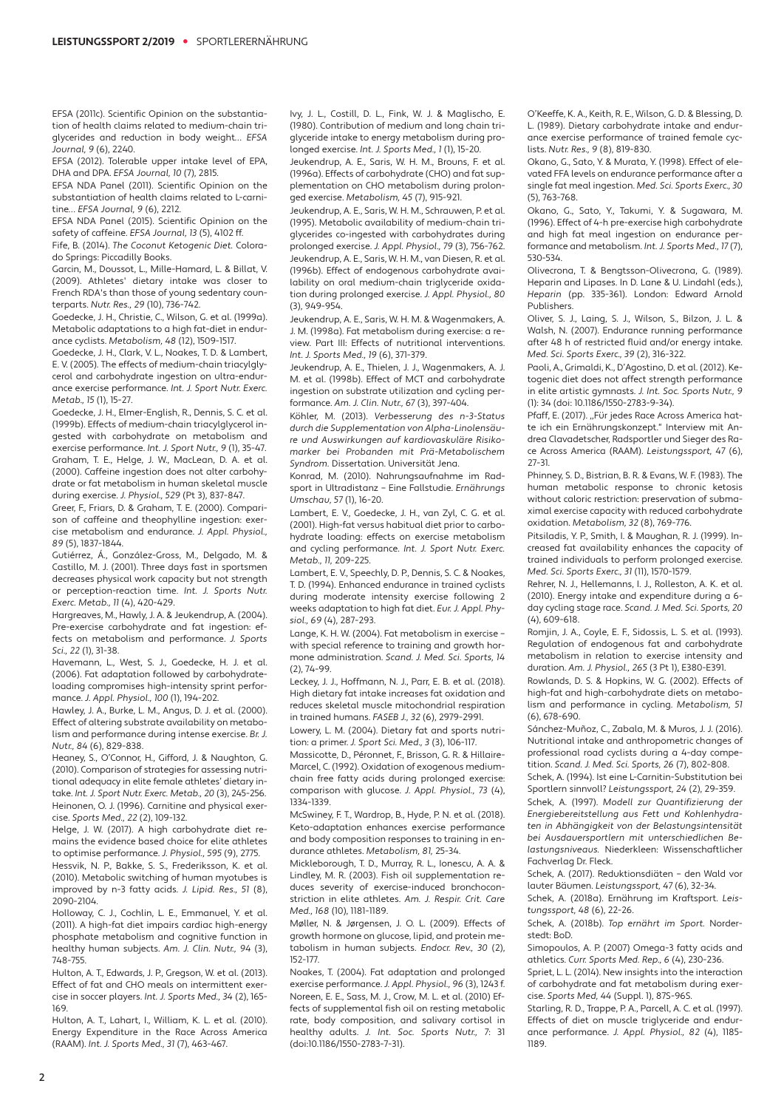EFSA (2011c). Scientific Opinion on the substantiation of health claims related to medium-chain triglycerides and reduction in body weight… EFSA Journal, 9 (6), 2240.

EFSA (2012). Tolerable upper intake level of EPA, DHA and DPA. EFSA Journal, 10 (7), 2815.

EFSA NDA Panel (2011). Scientific Opinion on the substantiation of health claims related to L-carnitine… EFSA Journal, 9 (6), 2212.

EFSA NDA Panel (2015). Scientific Opinion on the safety of caffeine. EFSA Journal, 13 (5), 4102 ff. Fife, B. (2014). The Coconut Ketogenic Diet. Colora-

do Springs: Piccadilly Books. Garcin, M., Doussot, L., Mille-Hamard, L. & Billat, V. (2009). Athletes' dietary intake was closer to

French RDA's than those of young sedentary counterparts. Nutr. Res., 29 (10), 736-742.

Goedecke, J. H., Christie, C., Wilson, G. et al. (1999a). Metabolic adaptations to a high fat-diet in endurance cyclists. Metabolism, 48 (12), 1509-1517.

Goedecke, J. H., Clark, V. L., Noakes, T. D. & Lambert, E. V. (2005). The effects of medium-chain triacylglycerol and carbohydrate ingestion on ultra-endurance exercise performance. Int. J. Sport Nutr. Exerc. Metab., 15 (1), 15-27.

Goedecke, J. H., Elmer-English, R., Dennis, S. C. et al. (1999b). Effects of medium-chain triacylglycerol ingested with carbohydrate on metabolism and exercise performance. Int. J. Sport Nutr., 9 (1), 35-47. Graham, T. E., Helge, J. W., MacLean, D. A. et al. (2000). Caffeine ingestion does not alter carbohydrate or fat metabolism in human skeletal muscle during exercise. J. Physiol., 529 (Pt 3), 837-847.

Greer, F., Friars, D. & Graham, T. E. (2000). Comparison of caffeine and theophylline ingestion: exercise metabolism and endurance. J. Appl. Physiol., 89 (5), 1837-1844.

Gutiérrez, Á., González-Gross, M., Delgado, M. & Castillo, M. J. (2001). Three days fast in sportsmen decreases physical work capacity but not strength or perception-reaction time. Int. J. Sports Nutr. Exerc. Metab., 11 (4), 420-429.

Hargreaves, M., Hawly, J. A. & Jeukendrup, A. (2004). Pre-exercise carbohydrate and fat ingestion: effects on metabolism and performance. J. Sports Sci., 22 (1), 31-38.

Havemann, L., West, S. J., Goedecke, H. J. et al. (2006). Fat adaptation followed by carbohydrateloading compromises high-intensity sprint performance. J. Appl. Physiol., 100 (1), 194-202.

Hawley, J. A., Burke, L. M., Angus, D. J. et al. (2000). Effect of altering substrate availability on metabolism and performance during intense exercise. Br. J. Nutr., 84 (6), 829-838.

Heaney, S., O'Connor, H., Gifford, J. & Naughton, G. (2010). Comparison of strategies for assessing nutritional adequacy in elite female athletes' dietary intake. Int. J. Sport Nutr. Exerc. Metab., 20 (3), 245-256. Heinonen, O. J. (1996). Carnitine and physical exercise. Sports Med., 22 (2), 109-132.

Helge, J. W. (2017). A high carbohydrate diet remains the evidence based choice for elite athletes to optimise performance. J. Physiol., 595 (9), 2775. Hessvik, N. P., Bakke, S. S., Frederiksson, K. et al.

(2010). Metabolic switching of human myotubes is improved by n-3 fatty acids. J. Lipid. Res., 51 (8), 2090-2104.

Holloway, C. J., Cochlin, L. E., Emmanuel, Y. et al. (2011). A high-fat diet impairs cardiac high-energy phosphate metabolism and cognitive function in healthy human subjects. Am. J. Clin. Nutr., 94 (3), 748-755.

Hulton, A. T., Edwards, J. P., Gregson, W. et al. (2013). Effect of fat and CHO meals on intermittent exercise in soccer players. Int. J. Sports Med., 34 (2), 165- 169.

Hulton, A. T., Lahart, I., William, K. L. et al. (2010). Energy Expenditure in the Race Across America (RAAM). Int. J. Sports Med., 31 (7), 463-467.

Ivy, J. L., Costill, D. L., Fink, W. J. & Maglischo, E. (1980). Contribution of medium and long chain triglyceride intake to energy metabolism during prolonged exercise. Int. J. Sports Med., 1 (1), 15-20.

Jeukendrup, A. E., Saris, W. H. M., Brouns, F. et al. (1996a). Effects of carbohydrate (CHO) and fat supplementation on CHO metabolism during prolonged exercise. Metabolism, 45 (7), 915-921.

Jeukendrup, A. E., Saris, W. H. M., Schrauwen, P. et al. (1995). Metabolic availability of medium-chain triglycerides co-ingested with carbohydrates during prolonged exercise. J. Appl. Physiol., 79 (3), 756-762. Jeukendrup, A. E., Saris, W. H. M., van Diesen, R. et al. (1996b). Effect of endogenous carbohydrate availability on oral medium-chain triglyceride oxidation during prolonged exercise. J. Appl. Physiol., 80 (3), 949-954.

Jeukendrup, A. E., Saris, W. H. M. & Wagenmakers, A. J. M. (1998a). Fat metabolism during exercise: a review. Part III: Effects of nutritional interventions. Int. J. Sports Med., 19 (6), 371-379.

Jeukendrup, A. E., Thielen, J. J., Wagenmakers, A. J. M. et al. (1998b). Effect of MCT and carbohydrate ingestion on substrate utilization and cycling performance. Am. J. Clin. Nutr., 67 (3), 397-404.

Köhler, M. (2013). Verbesserung des n-3-Status durch die Supplementation von Alpha-Linolensäure und Auswirkungen auf kardiovaskuläre Risikomarker bei Probanden mit Prä-Metabolischem Syndrom. Dissertation. Universität Jena.

Konrad, M. (2010). Nahrungsaufnahme im Radsport in Ultradistanz – Eine Fallstudie. Ernährungs Umschau, 57 (1), 16-20.

Lambert, E. V., Goedecke, J. H., van Zyl, C. G. et al. (2001). High-fat versus habitual diet prior to carbohydrate loading: effects on exercise metabolism and cycling performance. Int. J. Sport Nutr. Exerc. Metab., 11, 209-225.

Lambert, E. V., Speechly, D. P., Dennis, S. C. & Noakes, T. D. (1994). Enhanced endurance in trained cyclists during moderate intensity exercise following 2 weeks adaptation to high fat diet. Eur. J. Appl. Physiol., 69 (4), 287-293.

Lange, K. H. W. (2004). Fat metabolism in exercise – with special reference to training and growth hormone administration. Scand. J. Med. Sci. Sports, 14 (2), 74-99.

Leckey, J. J., Hoffmann, N. J., Parr, E. B. et al. (2018). High dietary fat intake increases fat oxidation and reduces skeletal muscle mitochondrial respiration in trained humans. FASEB J., 32 (6), 2979-2991.

Lowery, L. M. (2004). Dietary fat and sports nutrition: a primer. J. Sport Sci. Med., 3 (3), 106-117.

Massicotte, D., Péronnet, F., Brisson, G. R. & Hillaire-Marcel, C. (1992). Oxidation of exogenous mediumchain free fatty acids during prolonged exercise: comparison with glucose. J. Appl. Physiol., 73 (4), 1334-1339.

McSwiney, F. T., Wardrop, B., Hyde, P. N. et al. (2018). Keto-adaptation enhances exercise performance and body composition responses to training in endurance athletes. Metabolism, 81, 25-34.

Mickleborough, T. D., Murray, R. L., Ionescu, A. A. & Lindley, M. R. (2003). Fish oil supplementation reduces severity of exercise-induced bronchoconstriction in elite athletes. Am. J. Respir. Crit. Care Med., 168 (10), 1181-1189.

Møller, N. & Jørgensen, J. O. L. (2009). Effects of growth hormone on glucose, lipid, and protein metabolism in human subjects. Endocr. Rev., 30 (2), 152-177.

Noakes, T. (2004). Fat adaptation and prolonged exercise performance. J. Appl. Physiol., 96 (3), 1243 f. Noreen, E. E., Sass, M. J., Crow, M. L. et al. (2010) Effects of supplemental fish oil on resting metabolic rate, body composition, and salivary cortisol in healthy adults. J. Int. Soc. Sports Nutr., 7: 31 (doi:10.1186/1550-2783-7-31).

O'Keeffe, K. A., Keith, R. E., Wilson, G. D. & Blessing, D. L. (1989). Dietary carbohydrate intake and endurance exercise performance of trained female cyclists. Nutr. Res., 9 (8), 819-830.

Okano, G., Sato, Y. & Murata, Y. (1998). Effect of elevated FFA levels on endurance performance after a single fat meal ingestion. Med. Sci. Sports Exerc., 30 (5), 763-768.

Okano, G., Sato, Y., Takumi, Y. & Sugawara, M. (1996). Effect of 4-h pre-exercise high carbohydrate and high fat meal ingestion on endurance performance and metabolism. Int. J. Sports Med., 17(7). 530-534.

Olivecrona, T. & Bengtsson-Olivecrona, G. (1989). Heparin and Lipases. In D. Lane & U. Lindahl (eds.), Heparin (pp. 335-361). London: Edward Arnold Publishers.

Oliver, S. J., Laing, S. J., Wilson, S., Bilzon, J. L. & Walsh, N. (2007). Endurance running performance after 48 h of restricted fluid and/or energy intake. Med. Sci. Sports Exerc., 39 (2), 316-322.

Paoli, A., Grimaldi, K., D'Agostino, D. et al. (2012). Ketogenic diet does not affect strength performance in elite artistic gymnasts. J. Int. Soc. Sports Nutr., 9 (1): 34 (doi: 10.1186/1550-2783-9-34).

Pfaff, E. (2017). ,,Für jedes Race Across America hatte ich ein Ernährungskonzept." Interview mit Andrea Clavadetscher, Radsportler und Sieger des Race Across America (RAAM). Leistungssport, 47 (6), 27-31.

Phinney, S. D., Bistrian, B. R. & Evans, W. F. (1983). The human metabolic response to chronic ketosis with out caloric restriction: preservation of submaximal exercise capacity with reduced carbohydrate oxidation. Metabolism, 32 (8), 769-776.

Pitsiladis, Y. P., Smith, I. & Maughan, R. J. (1999). Increased fat availability enhances the capacity of trained individuals to perform prolonged exercise. Med. Sci. Sports Exerc., 31 (11), 1570-1579.

Rehrer, N. J., Hellemanns, I. J., Rolleston, A. K. et al. (2010). Energy intake and expenditure during a 6day cycling stage race. Scand. J. Med. Sci. Sports, 20 (4), 609-618.

Romjin, J. A., Coyle, E. F., Sidossis, L. S. et al. (1993). Regulation of endogenous fat and carbohydrate metabolism in relation to exercise intensity and duration. Am. J. Physiol., 265 (3 Pt 1), E380-E391.

Rowlands, D. S. & Hopkins, W. G. (2002). Effects of high-fat and high-carbohydrate diets on metabolism and performance in cycling. Metabolism, 51 (6), 678-690.

Sánchez-Muñoz, C., Zabala, M. & Muros, J. J. (2016). Nutritional intake and anthropometric changes of professional road cyclists during a 4-day competition. Scand. J. Med. Sci. Sports, 26 (7), 802-808.

Schek, A. (1994). Ist eine L-Carnitin-Substitution bei Sportlern sinnvoll? Leistungssport, 24 (2), 29-359.

Schek, A. (1997). Modell zur Quantifizierung der Energiebereitstellung aus Fett und Kohlenhydraten in Abhängigkeit von der Belastungsintensität bei Ausdauersportlern mit unterschiedlichen Belastungsniveaus. Niederkleen: Wissenschaftlicher Fachverlag Dr. Fleck.

Schek, A. (2017). Reduktionsdiäten – den Wald vor lauter Bäumen. Leistungssport, 47 (6), 32-34.

Schek, A. (2018a). Ernährung im Kraftsport. Leistungssport, 48 (6), 22-26.

Schek, A. (2018b). Top ernährt im Sport. Norderstedt: BoD.

Simopoulos, A. P. (2007) Omega-3 fatty acids and athletics. Curr. Sports Med. Rep., 6 (4), 230-236.

Spriet, L. L. (2014). New insights into the interaction of carbohydrate and fat metabolism during exer cise. Sports Med, 44 (Suppl. 1), 87S-96S.

Starling, R. D., Trappe, P. A., Parcell, A. C. et al. (1997). Effects of diet on muscle triglyceride and endurance performance. J. Appl. Physiol., 82 (4), 1185- 1189.